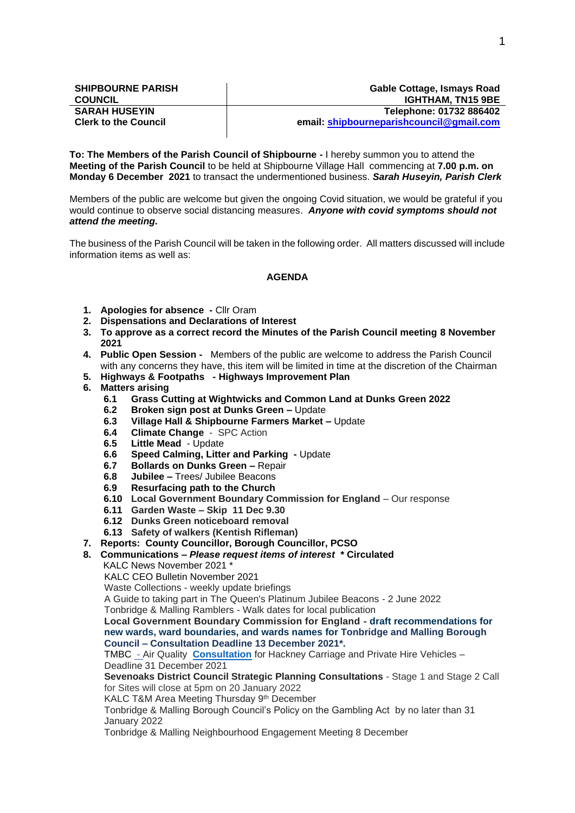| <b>SHIPBOURNE PARISH</b>    | <b>Gable Cottage, Ismays Road</b>         |  |
|-----------------------------|-------------------------------------------|--|
| <b>COUNCIL</b>              | <b>IGHTHAM. TN15 9BE</b>                  |  |
| <b>SARAH HUSEYIN</b>        | Telephone: 01732 886402                   |  |
| <b>Clerk to the Council</b> | email: shipbourneparish council@gmail.com |  |
|                             |                                           |  |

**To: The Members of the Parish Council of Shipbourne -** I hereby summon you to attend the **Meeting of the Parish Council** to be held at Shipbourne Village Hall commencing at **7.00 p.m. on Monday 6 December 2021** to transact the undermentioned business. *Sarah Huseyin, Parish Clerk*

Members of the public are welcome but given the ongoing Covid situation, we would be grateful if you would continue to observe social distancing measures. *Anyone with covid symptoms should not attend the meeting.*

The business of the Parish Council will be taken in the following order. All matters discussed will include information items as well as:

### **AGENDA**

- **1. Apologies for absence -** Cllr Oram
- **2. Dispensations and Declarations of Interest**
- **3. To approve as a correct record the Minutes of the Parish Council meeting 8 November 2021**
- **4. Public Open Session** Members of the public are welcome to address the Parish Council with any concerns they have, this item will be limited in time at the discretion of the Chairman
- **5. Highways & Footpaths - Highways Improvement Plan**
- **6. Matters arising** 
	- **6.1 Grass Cutting at Wightwicks and Common Land at Dunks Green 2022**
	- **6.2 Broken sign post at Dunks Green –** Update
	- **6.3 Village Hall & Shipbourne Farmers Market –** Update
	- **6.4 Climate Change**  SPC Action
	- **6.5 Little Mead** Update
	- **6.6 Speed Calming, Litter and Parking -** Update
	- **6.7 Bollards on Dunks Green –** Repair
	- **6.8 Jubilee –** Trees/ Jubilee Beacons
	- **6.9 Resurfacing path to the Church**
	- **6.10 Local Government Boundary Commission for England**  Our response
	- **6.11 Garden Waste – Skip 11 Dec 9.30**
	- **6.12 Dunks Green noticeboard removal**
	- **6.13 Safety of walkers (Kentish Rifleman)**
- **7. Reports: County Councillor, Borough Councillor, PCSO**
- **8. Communications –** *Please request items of interest* **\* Circulated**
	- KALC News November 2021
	- KALC CEO Bulletin November 2021
	- Waste Collections weekly update briefings

A Guide to taking part in The Queen's Platinum Jubilee Beacons - 2 June 2022

Tonbridge & Malling Ramblers - Walk dates for local publication

**Local Government Boundary Commission for England - draft recommendations for new wards, ward boundaries, and wards names for Tonbridge and Malling Borough Council – Consultation Deadline 13 December 2021\*.**

TMBC - Air Quality **[Consultation](https://forms.office.com/Pages/ResponsePage.aspx?id=mTtAr6p98UC_c-HZiZUtOCqkmMWhK1BKjg3AY6odsylUOFVRSE5WVU40S01EME1SSDAxT1FMSVBKWCQlQCN0PWcu)** for Hackney Carriage and Private Hire Vehicles – Deadline 31 December 2021

**Sevenoaks District Council Strategic Planning Consultations** - Stage 1 and Stage 2 Call for Sites will close at 5pm on 20 January 2022

KALC T&M Area Meeting Thursday 9<sup>th</sup> December

Tonbridge & Malling Borough Council's Policy on the Gambling Act by no later than 31 January 2022

Tonbridge & Malling Neighbourhood Engagement Meeting 8 December